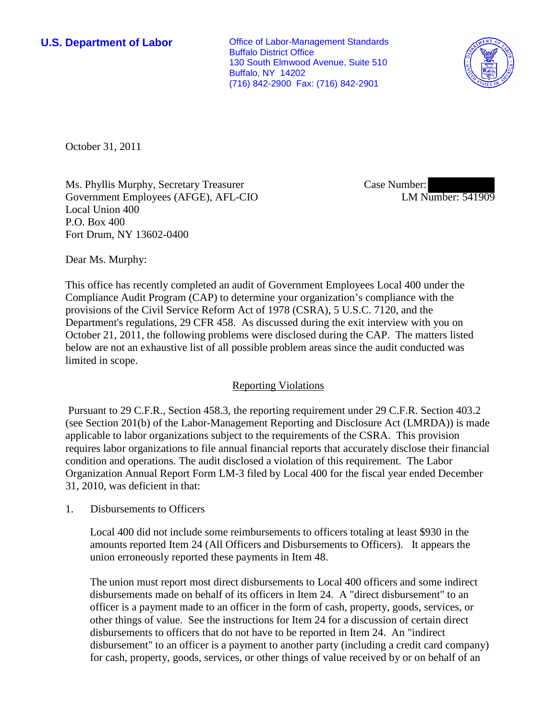**U.S. Department of Labor Conservative Conservative Conservative Conservative Conservative Conservative Conservative Conservative Conservative Conservative Conservative Conservative Conservative Conservative Conservative** Buffalo District Office 130 South Elmwood Avenue, Suite 510 Buffalo, NY 14202 (716) 842-2900 Fax: (716) 842-2901



October 31, 2011

Ms. Phyllis Murphy, Secretary Treasurer Government Employees (AFGE), AFL-CIO Local Union 400 P.O. Box 400 Fort Drum, NY 13602-0400

Case Number: LM Number: 541909

Dear Ms. Murphy:

This office has recently completed an audit of Government Employees Local 400 under the Compliance Audit Program (CAP) to determine your organization's compliance with the provisions of the Civil Service Reform Act of 1978 (CSRA), 5 U.S.C. 7120, and the Department's regulations, 29 CFR 458. As discussed during the exit interview with you on October 21, 2011, the following problems were disclosed during the CAP. The matters listed below are not an exhaustive list of all possible problem areas since the audit conducted was limited in scope.

## Reporting Violations

 Pursuant to 29 C.F.R., Section 458.3, the reporting requirement under 29 C.F.R. Section 403.2 (see Section 201(b) of the Labor-Management Reporting and Disclosure Act (LMRDA)) is made applicable to labor organizations subject to the requirements of the CSRA. This provision requires labor organizations to file annual financial reports that accurately disclose their financial condition and operations. The audit disclosed a violation of this requirement. The Labor Organization Annual Report Form LM-3 filed by Local 400 for the fiscal year ended December 31, 2010, was deficient in that:

1. Disbursements to Officers

Local 400 did not include some reimbursements to officers totaling at least \$930 in the amounts reported Item 24 (All Officers and Disbursements to Officers). It appears the union erroneously reported these payments in Item 48.

The union must report most direct disbursements to Local 400 officers and some indirect disbursements made on behalf of its officers in Item 24. A "direct disbursement" to an officer is a payment made to an officer in the form of cash, property, goods, services, or other things of value. See the instructions for Item 24 for a discussion of certain direct disbursements to officers that do not have to be reported in Item 24. An "indirect disbursement" to an officer is a payment to another party (including a credit card company) for cash, property, goods, services, or other things of value received by or on behalf of an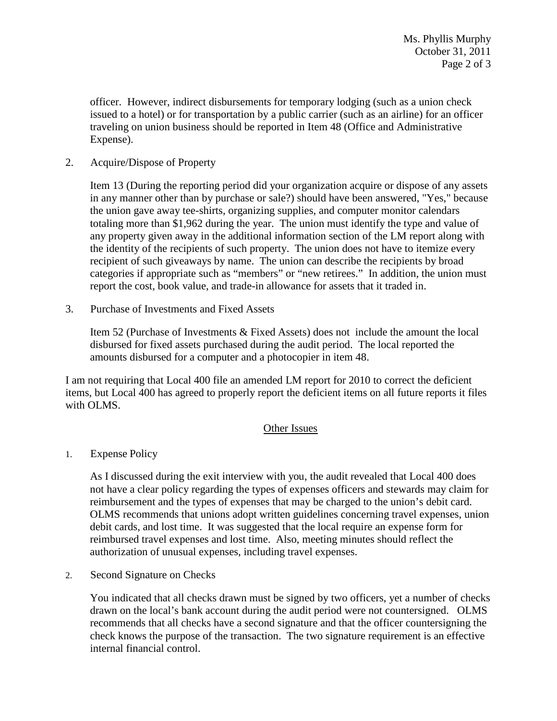officer. However, indirect disbursements for temporary lodging (such as a union check issued to a hotel) or for transportation by a public carrier (such as an airline) for an officer traveling on union business should be reported in Item 48 (Office and Administrative Expense).

2. Acquire/Dispose of Property

Item 13 (During the reporting period did your organization acquire or dispose of any assets in any manner other than by purchase or sale?) should have been answered, "Yes," because the union gave away tee-shirts, organizing supplies, and computer monitor calendars totaling more than \$1,962 during the year. The union must identify the type and value of any property given away in the additional information section of the LM report along with the identity of the recipients of such property. The union does not have to itemize every recipient of such giveaways by name. The union can describe the recipients by broad categories if appropriate such as "members" or "new retirees." In addition, the union must report the cost, book value, and trade-in allowance for assets that it traded in.

3. Purchase of Investments and Fixed Assets

Item 52 (Purchase of Investments & Fixed Assets) does not include the amount the local disbursed for fixed assets purchased during the audit period. The local reported the amounts disbursed for a computer and a photocopier in item 48.

I am not requiring that Local 400 file an amended LM report for 2010 to correct the deficient items, but Local 400 has agreed to properly report the deficient items on all future reports it files with OLMS.

## Other Issues

1. Expense Policy

As I discussed during the exit interview with you, the audit revealed that Local 400 does not have a clear policy regarding the types of expenses officers and stewards may claim for reimbursement and the types of expenses that may be charged to the union's debit card. OLMS recommends that unions adopt written guidelines concerning travel expenses, union debit cards, and lost time. It was suggested that the local require an expense form for reimbursed travel expenses and lost time. Also, meeting minutes should reflect the authorization of unusual expenses, including travel expenses.

2. Second Signature on Checks

You indicated that all checks drawn must be signed by two officers, yet a number of checks drawn on the local's bank account during the audit period were not countersigned. OLMS recommends that all checks have a second signature and that the officer countersigning the check knows the purpose of the transaction. The two signature requirement is an effective internal financial control.